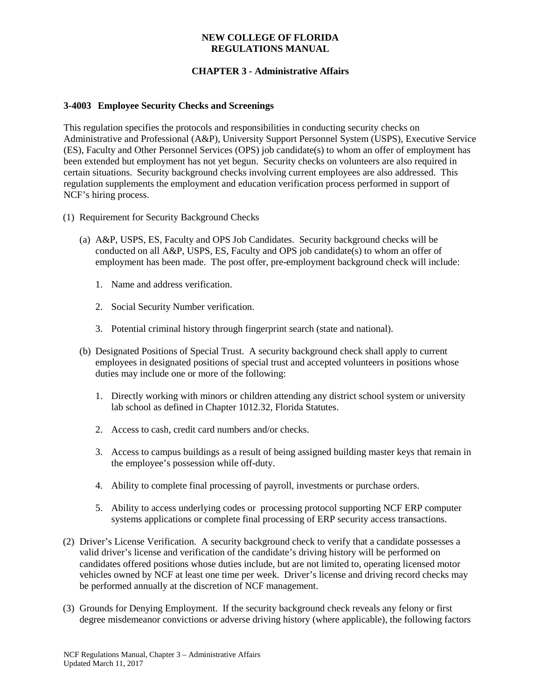### **NEW COLLEGE OF FLORIDA REGULATIONS MANUAL**

# **CHAPTER 3 - Administrative Affairs**

### **3-4003 Employee Security Checks and Screenings**

This regulation specifies the protocols and responsibilities in conducting security checks on Administrative and Professional (A&P), University Support Personnel System (USPS), Executive Service (ES), Faculty and Other Personnel Services (OPS) job candidate(s) to whom an offer of employment has been extended but employment has not yet begun. Security checks on volunteers are also required in certain situations. Security background checks involving current employees are also addressed. This regulation supplements the employment and education verification process performed in support of NCF's hiring process.

- (1) Requirement for Security Background Checks
	- (a) A&P, USPS, ES, Faculty and OPS Job Candidates. Security background checks will be conducted on all A&P, USPS, ES, Faculty and OPS job candidate(s) to whom an offer of employment has been made. The post offer, pre-employment background check will include:
		- 1. Name and address verification.
		- 2. Social Security Number verification.
		- 3. Potential criminal history through fingerprint search (state and national).
	- (b) Designated Positions of Special Trust. A security background check shall apply to current employees in designated positions of special trust and accepted volunteers in positions whose duties may include one or more of the following:
		- 1. Directly working with minors or children attending any district school system or university lab school as defined in Chapter 1012.32, Florida Statutes.
		- 2. Access to cash, credit card numbers and/or checks.
		- 3. Access to campus buildings as a result of being assigned building master keys that remain in the employee's possession while off-duty.
		- 4. Ability to complete final processing of payroll, investments or purchase orders.
		- 5. Ability to access underlying codes or processing protocol supporting NCF ERP computer systems applications or complete final processing of ERP security access transactions.
- (2) Driver's License Verification. A security background check to verify that a candidate possesses a valid driver's license and verification of the candidate's driving history will be performed on candidates offered positions whose duties include, but are not limited to, operating licensed motor vehicles owned by NCF at least one time per week. Driver's license and driving record checks may be performed annually at the discretion of NCF management.
- (3) Grounds for Denying Employment. If the security background check reveals any felony or first degree misdemeanor convictions or adverse driving history (where applicable), the following factors